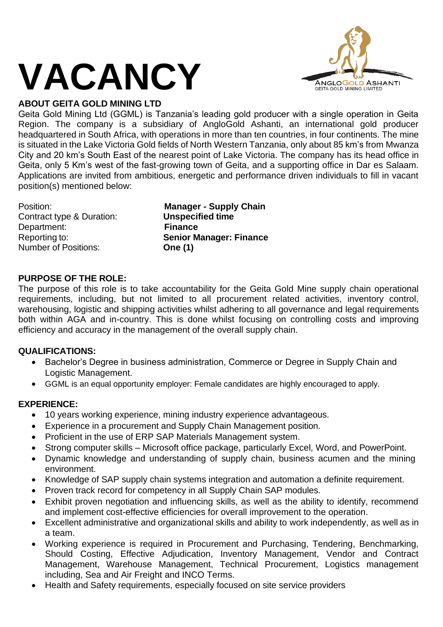# **VACANCY**



Geita Gold Mining Ltd (GGML) is Tanzania's leading gold producer with a single operation in Geita Region. The company is a subsidiary of AngloGold Ashanti, an international gold producer headquartered in South Africa, with operations in more than ten countries, in four continents. The mine is situated in the Lake Victoria Gold fields of North Western Tanzania, only about 85 km's from Mwanza City and 20 km's South East of the nearest point of Lake Victoria. The company has its head office in Geita, only 5 Km's west of the fast-growing town of Geita, and a supporting office in Dar es Salaam. Applications are invited from ambitious, energetic and performance driven individuals to fill in vacant position(s) mentioned below:

**Contract type & Duration:** Department: **Finance** Number of Positions: **One (1)**

Position: **Manager - Supply Chain** Reporting to: **Senior Manager: Finance**

# **PURPOSE OF THE ROLE:**

The purpose of this role is to take accountability for the Geita Gold Mine supply chain operational requirements, including, but not limited to all procurement related activities, inventory control, warehousing, logistic and shipping activities whilst adhering to all governance and legal requirements both within AGA and in-country. This is done whilst focusing on controlling costs and improving efficiency and accuracy in the management of the overall supply chain.

# **QUALIFICATIONS:**

- Bachelor's Degree in business administration, Commerce or Degree in Supply Chain and Logistic Management.
- GGML is an equal opportunity employer: Female candidates are highly encouraged to apply.

# **EXPERIENCE:**

- 10 years working experience, mining industry experience advantageous.
- Experience in a procurement and Supply Chain Management position.
- Proficient in the use of ERP SAP Materials Management system.
- Strong computer skills Microsoft office package, particularly Excel, Word, and PowerPoint.
- Dynamic knowledge and understanding of supply chain, business acumen and the mining environment.
- Knowledge of SAP supply chain systems integration and automation a definite requirement.
- Proven track record for competency in all Supply Chain SAP modules.
- Exhibit proven negotiation and influencing skills, as well as the ability to identify, recommend and implement cost-effective efficiencies for overall improvement to the operation.
- Excellent administrative and organizational skills and ability to work independently, as well as in a team.
- Working experience is required in Procurement and Purchasing, Tendering, Benchmarking, Should Costing, Effective Adjudication, Inventory Management, Vendor and Contract Management, Warehouse Management, Technical Procurement, Logistics management including, Sea and Air Freight and INCO Terms.
- Health and Safety requirements, especially focused on site service providers

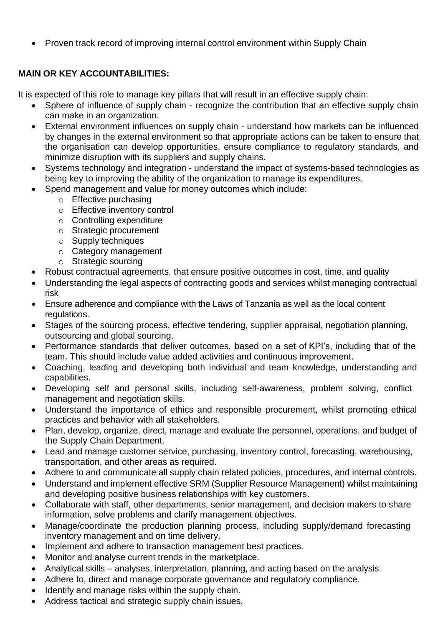• Proven track record of improving internal control environment within Supply Chain

# **MAIN OR KEY ACCOUNTABILITIES:**

It is expected of this role to manage key pillars that will result in an effective supply chain:

- Sphere of influence of supply chain recognize the contribution that an effective supply chain can make in an organization.
- External environment influences on supply chain understand how markets can be influenced by changes in the external environment so that appropriate actions can be taken to ensure that the organisation can develop opportunities, ensure compliance to regulatory standards, and minimize disruption with its suppliers and supply chains.
- Systems technology and integration understand the impact of systems-based technologies as being key to improving the ability of the organization to manage its expenditures.
- Spend management and value for money outcomes which include:
	- o Effective purchasing
	- o Effective inventory control
	- o Controlling expenditure
	- o Strategic procurement
	- o Supply techniques
	- o Category management
	- o Strategic sourcing
- Robust contractual agreements, that ensure positive outcomes in cost, time, and quality
- Understanding the legal aspects of contracting goods and services whilst managing contractual risk
- Ensure adherence and compliance with the Laws of Tanzania as well as the local content regulations.
- Stages of the sourcing process, effective tendering, supplier appraisal, negotiation planning, outsourcing and global sourcing.
- Performance standards that deliver outcomes, based on a set of KPI's, including that of the team. This should include value added activities and continuous improvement.
- Coaching, leading and developing both individual and team knowledge, understanding and capabilities.
- Developing self and personal skills, including self-awareness, problem solving, conflict management and negotiation skills.
- Understand the importance of ethics and responsible procurement, whilst promoting ethical practices and behavior with all stakeholders.
- Plan, develop, organize, direct, manage and evaluate the personnel, operations, and budget of the Supply Chain Department.
- Lead and manage customer service, purchasing, inventory control, forecasting, warehousing, transportation, and other areas as required.
- Adhere to and communicate all supply chain related policies, procedures, and internal controls.
- Understand and implement effective SRM (Supplier Resource Management) whilst maintaining and developing positive business relationships with key customers.
- Collaborate with staff, other departments, senior management, and decision makers to share information, solve problems and clarify management objectives.
- Manage/coordinate the production planning process, including supply/demand forecasting inventory management and on time delivery.
- Implement and adhere to transaction management best practices.
- Monitor and analyse current trends in the marketplace.
- Analytical skills analyses, interpretation, planning, and acting based on the analysis.
- Adhere to, direct and manage corporate governance and regulatory compliance.
- Identify and manage risks within the supply chain.
- Address tactical and strategic supply chain issues.